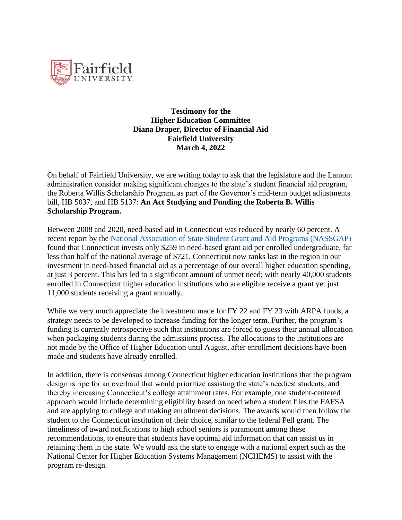

**Testimony for the Higher Education Committee Diana Draper, Director of Financial Aid Fairfield University March 4, 2022**

On behalf of Fairfield University, we are writing today to ask that the legislature and the Lamont administration consider making significant changes to the state's student financial aid program, the Roberta Willis Scholarship Program, as part of the Governor's mid-term budget adjustments bill, HB 5037, and HB 5137: **An Act Studying and Funding the Roberta B. Willis Scholarship Program.** 

Between 2008 and 2020, need-based aid in Connecticut was reduced by nearly 60 percent. A recent report by the National Association of State Student Grant and Aid Programs (NASSGAP) found that Connecticut invests only \$259 in need-based grant aid per enrolled undergraduate, far less than half of the national average of \$721. Connecticut now ranks last in the region in our investment in need-based financial aid as a percentage of our overall higher education spending, at just 3 percent. This has led to a significant amount of unmet need; with nearly 40,000 students enrolled in Connecticut higher education institutions who are eligible receive a grant yet just 11,000 students receiving a grant annually.

While we very much appreciate the investment made for FY 22 and FY 23 with ARPA funds, a strategy needs to be developed to increase funding for the longer term. Further, the program's funding is currently retrospective such that institutions are forced to guess their annual allocation when packaging students during the admissions process. The allocations to the institutions are not made by the Office of Higher Education until August, after enrollment decisions have been made and students have already enrolled.

In addition, there is consensus among Connecticut higher education institutions that the program design is ripe for an overhaul that would prioritize assisting the state's neediest students, and thereby increasing Connecticut's college attainment rates. For example, one student-centered approach would include determining eligibility based on need when a student files the FAFSA and are applying to college and making enrollment decisions. The awards would then follow the student to the Connecticut institution of their choice, similar to the federal Pell grant. The timeliness of award notifications to high school seniors is paramount among these recommendations, to ensure that students have optimal aid information that can assist us in retaining them in the state. We would ask the state to engage with a national expert such as the National Center for Higher Education Systems Management (NCHEMS) to assist with the program re-design.